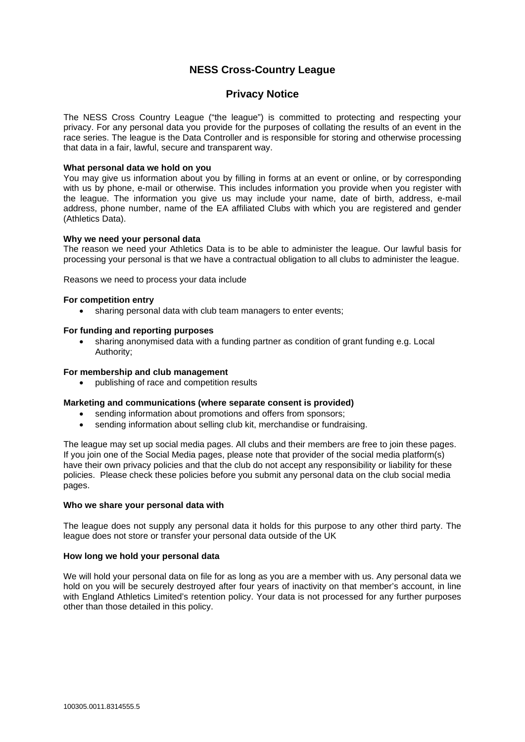# **NESS Cross-Country League**

# **Privacy Notice**

The NESS Cross Country League ("the league") is committed to protecting and respecting your privacy. For any personal data you provide for the purposes of collating the results of an event in the race series. The league is the Data Controller and is responsible for storing and otherwise processing that data in a fair, lawful, secure and transparent way.

## **What personal data we hold on you**

You may give us information about you by filling in forms at an event or online, or by corresponding with us by phone, e-mail or otherwise. This includes information you provide when you register with the league. The information you give us may include your name, date of birth, address, e-mail address, phone number, name of the EA affiliated Clubs with which you are registered and gender (Athletics Data).

# **Why we need your personal data**

The reason we need your Athletics Data is to be able to administer the league. Our lawful basis for processing your personal is that we have a contractual obligation to all clubs to administer the league.

Reasons we need to process your data include

## **For competition entry**

• sharing personal data with club team managers to enter events;

## **For funding and reporting purposes**

• sharing anonymised data with a funding partner as condition of grant funding e.g. Local Authority;

#### **For membership and club management**

• publishing of race and competition results

# **Marketing and communications (where separate consent is provided)**

- sending information about promotions and offers from sponsors;
- sending information about selling club kit, merchandise or fundraising.

The league may set up social media pages. All clubs and their members are free to join these pages. If you join one of the Social Media pages, please note that provider of the social media platform(s) have their own privacy policies and that the club do not accept any responsibility or liability for these policies. Please check these policies before you submit any personal data on the club social media pages.

## **Who we share your personal data with**

The league does not supply any personal data it holds for this purpose to any other third party. The league does not store or transfer your personal data outside of the UK

## **How long we hold your personal data**

We will hold your personal data on file for as long as you are a member with us. Any personal data we hold on you will be securely destroyed after four years of inactivity on that member's account, in line with England Athletics Limited's retention policy. Your data is not processed for any further purposes other than those detailed in this policy.